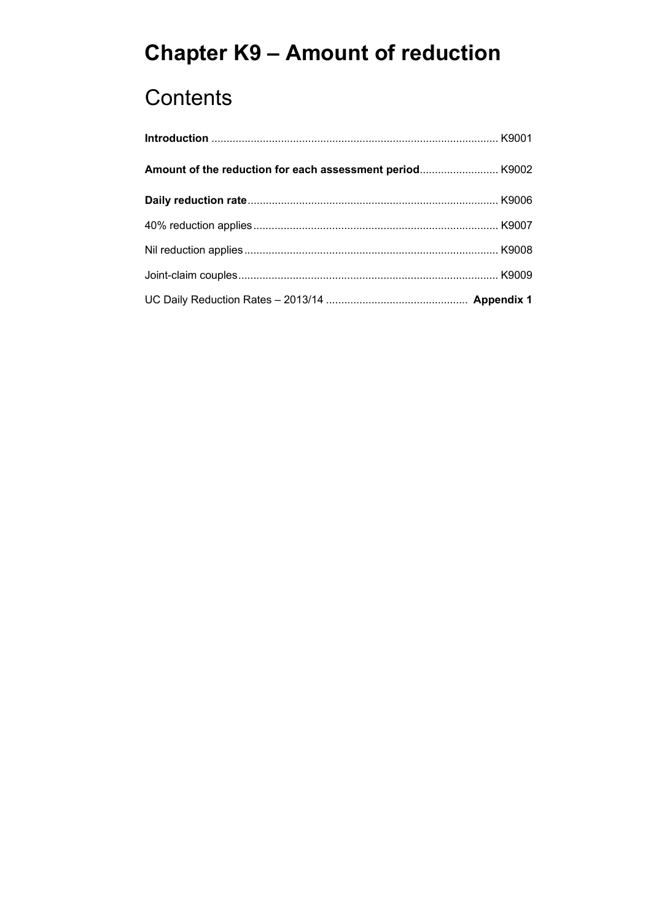# **Chapter K9 – Amount of reduction**

## **Contents**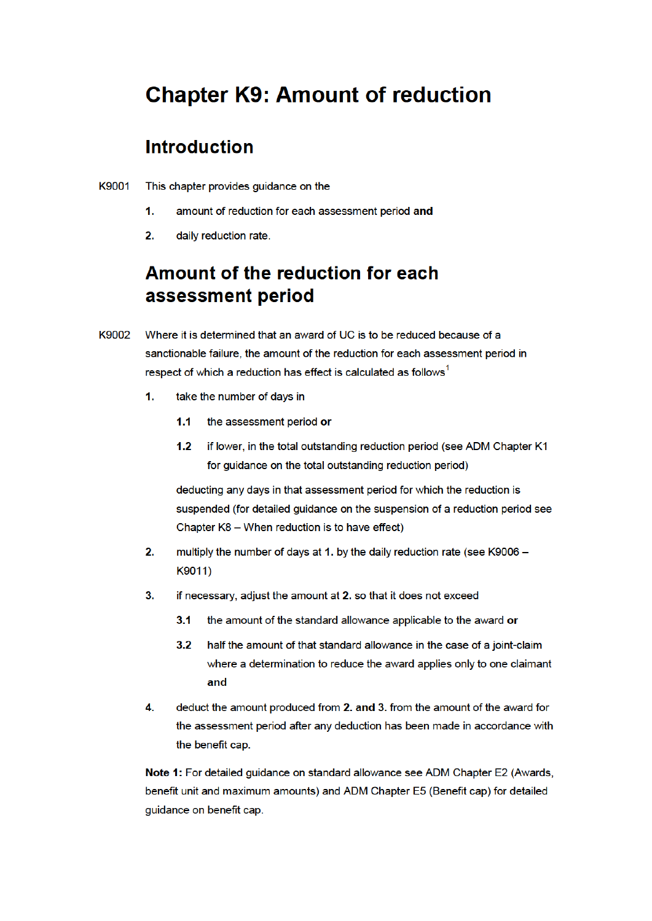## **Chapter K9: Amount of reduction**

### **Introduction**

- K 9001 This chapter provides guidance on the
	- 1. amount of reduction for each assessment period and
	- 2. daily reduction rate.

## Amount of the reduction for each assessment period

- K 9002 Where it is determined that an award of UC is to be reduced because of a sanctionable failure, the amount of the reduction for each assessment period in respect of which a reduction has effect is calculated as follows<sup>1</sup>
	- 1. take the number of days in
		- 1.1 the assessment period or
		- 1.2 if lower, in the total outstanding reduction period (see ADM Chapter K1 for quidance on the total outstanding reduction period)

suspended (for detailed guidance on the suspension of a reduction period see deducting any days in that assessment period for which the reduction is Chapter  $K8 - When$  reduction is to have effect)

- 2. multiply the number of days at 1. by the daily reduction rate (see K9006  $K9011)$
- 3. if necessary, adjust the amount at 2. so that it does not exceed
	- 3.1 the amount of the standard allowance applicable to the award or
	- 3.2 half the amount of that standard allowance in the case of a joint-claim where a determination to reduce the award applies only to one claimant and
- 4. deduct the amount produced from 2. and 3. from the amount of the award for the assessment period after any deduction has been made in accordance with the benefit cap.

Note 1: For detailed guidance on standard allowance see ADM Chapter E2 (Awards, benefit unit and maximum amounts) and ADM Chapter E5 (Benefit cap) for detailed guidance on benefit cap.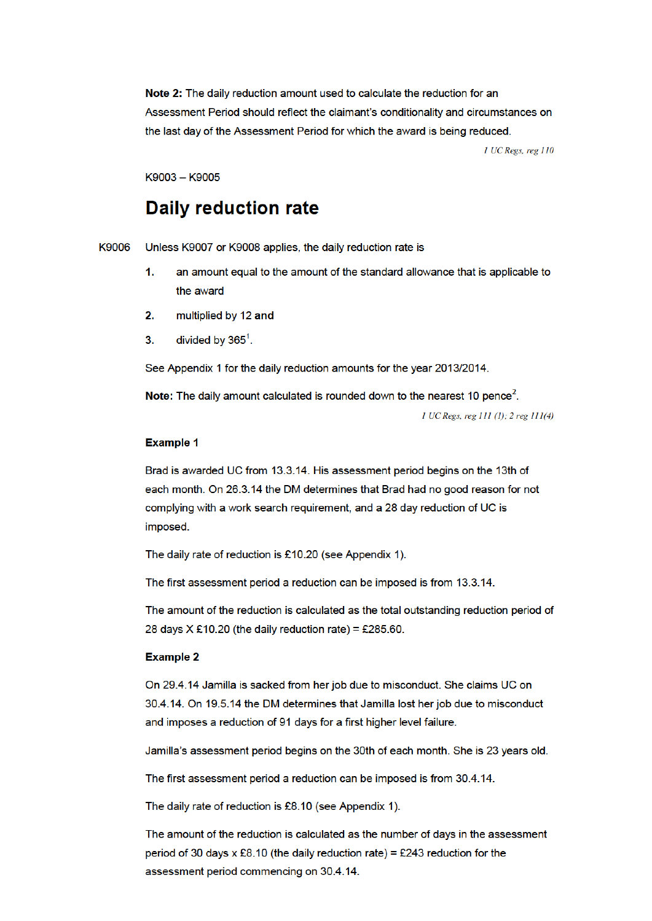the last day of the Assessment Period for which the award is being reduced. Note 2: The daily reduction amount used to calculate the reduction for an Assessment Period should reflect the claimant's conditionality and circumstances on

 $1$  UC Regs, reg  $110$ 

K 9003 - K 9005

## Daily reduction rate

K 9006 Unless K 9007 or K 9008 applies, the daily reduction rate is

- 1. an amount equal to the amount of the standard allowance that is applicable to the award
- 2.  $multipplied by 12 and$
- 3. divided by  $365^1$ .

See Appendix 1 for the daily reduction amounts for the year 2013/2014.

Note: The daily amount calculated is rounded down to the nearest 10 pence<sup>2</sup>.

 $1$  UC Regs, reg  $111$  (1);  $2$  reg  $111(4)$ 

#### **Example 1**

Brad is awarded UC from 13.3.14. His assessment period begins on the 13th of each month. On 26.3.14 the DM determines that Brad had no good reason for not imposed. complying with a work search requirement, and a 28 day reduction of UC is

The daily rate of reduction is £10.20 (see Appendix 1).

The first assessment period a reduction can be imposed is from 13.3.14.

28 days  $X \, \pounds 10.20$  (the daily reduction rate) = £285.60. The amount of the reduction is calculated as the total outstanding reduction period of

#### Example 2

On 29.4.14 Jamilla is sacked from her job due to misconduct. She claims UC on 30.4.14. On 19.5.14 the DM determines that Jamilla lost her job due to misconduct and imposes a reduction of 91 days for a first higher level failure.

Jamilla's assessment period begins on the 30th of each month. She is 23 years old.

The first assessment period a reduction can be imposed is from 30.4.14.

The daily rate of reduction is £8.10 (see Appendix 1).

period of 30 days x £8.10 (the daily reduction rate) = £243 reduction for the The amount of the reduction is calculated as the number of days in the assessment assessment period commencing on 30.4.14.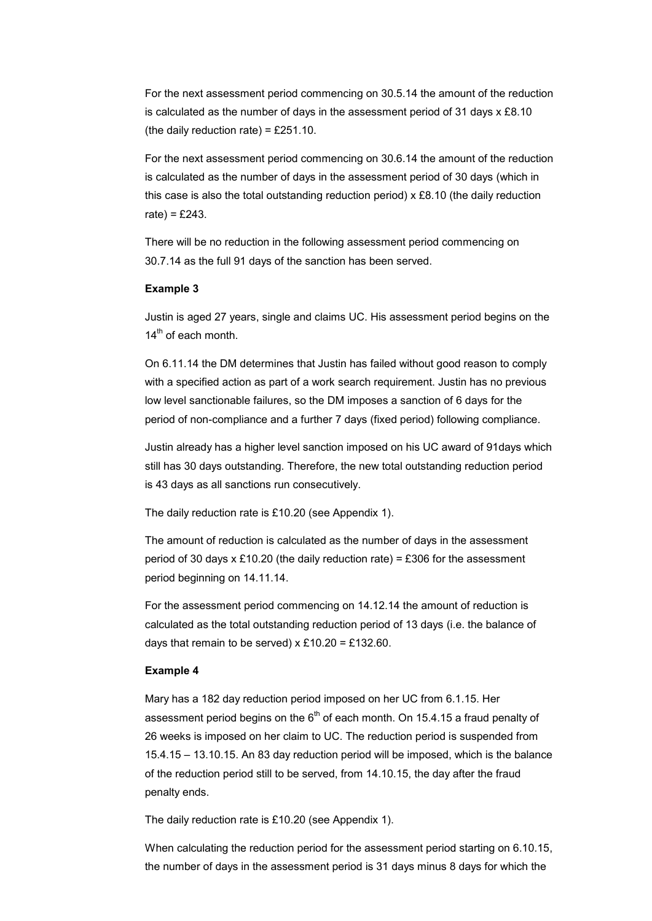For the next assessment period commencing on 30.5.14 the amount of the reduction is calculated as the number of days in the assessment period of 31 days x £8.10 (the daily reduction rate) =  $£251.10$ .

 this case is also the total outstanding reduction period) x £8.10 (the daily reduction For the next assessment period commencing on 30.6.14 the amount of the reduction is calculated as the number of days in the assessment period of 30 days (which in rate) =  $£243$ .

There will be no reduction in the following assessment period commencing on 30.7.14 as the full 91 days of the sanction has been served.

#### **Example 3**

Justin is aged 27 years, single and claims UC. His assessment period begins on the  $14<sup>th</sup>$  of each month.

On 6.11.14 the DM determines that Justin has failed without good reason to comply with a specified action as part of a work search requirement. Justin has no previous low level sanctionable failures, so the DM imposes a sanction of 6 days for the period of non-compliance and a further 7 days (fixed period) following compliance.

Justin already has a higher level sanction imposed on his UC award of 91days which still has 30 days outstanding. Therefore, the new total outstanding reduction period is 43 days as all sanctions run consecutively.

The daily reduction rate is £10.20 (see Appendix 1).

The amount of reduction is calculated as the number of days in the assessment period of 30 days  $x \pounds 10.20$  (the daily reduction rate) = £306 for the assessment period beginning on 14.11.14.

For the assessment period commencing on 14.12.14 the amount of reduction is calculated as the total outstanding reduction period of 13 days (i.e. the balance of days that remain to be served)  $x \pounds 10.20 = \pounds 132.60$ .

#### **Example 4**

Mary has a 182 day reduction period imposed on her UC from 6.1.15. Her assessment period begins on the  $6<sup>th</sup>$  of each month. On 15.4.15 a fraud penalty of 26 weeks is imposed on her claim to UC. The reduction period is suspended from 15.4.15 – 13.10.15. An 83 day reduction period will be imposed, which is the balance of the reduction period still to be served, from 14.10.15, the day after the fraud penalty ends.

The daily reduction rate is £10.20 (see Appendix 1).

When calculating the reduction period for the assessment period starting on 6.10.15, the number of days in the assessment period is 31 days minus 8 days for which the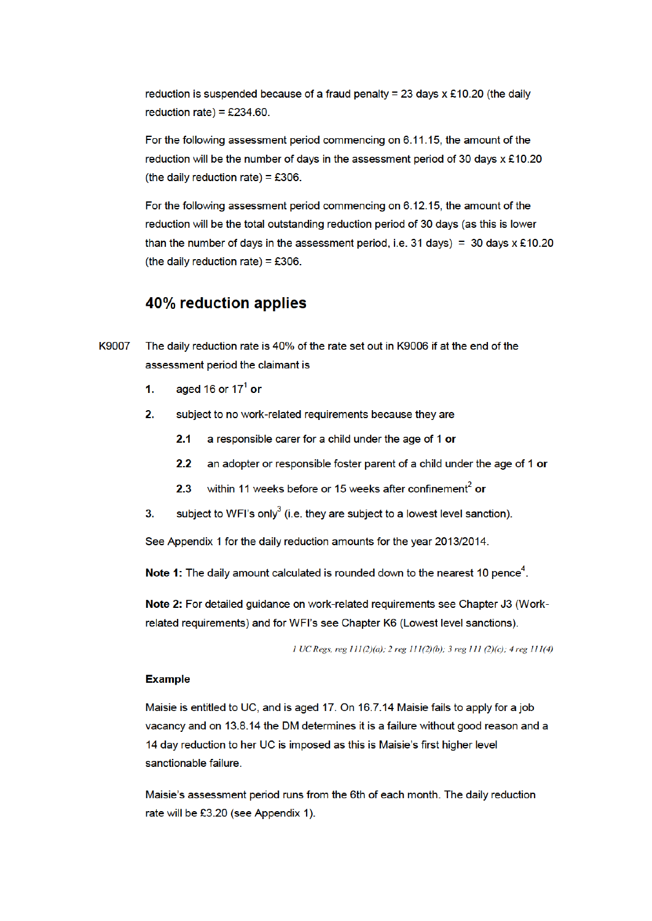reduction is suspended because of a fraud penalty = 23 days  $x \pounds 10.20$  (the daily reduction rate) =  $£234.60$ .

For the following assessment period commencing on 6.11.15, the amount of the reduction will be the number of days in the assessment period of 30 days  $x \pounds 10.20$ (the daily reduction rate) =  $£306$ .

reduction will be the total outstanding reduction period of 30 days (as this is lower than the number of days in the assessment period, i.e. 31 days) = 30 days  $x \text{£}10.20$ For the following assessment period commencing on 6.12.15, the amount of the (the daily reduction rate) =  $£306$ .

#### 40% reduction applies

- assessment period the claimant is K 9007 The daily reduction rate is 40% of the rate set out in K 9006 if at the end of the
	- **1.** aged 16 or 17<sup>1</sup> or
	- 2. subject to no work-related requirements because they are
		- 2.1 a responsible carer for a child under the age of 1 or
		- 2.2 an adopter or responsible foster parent of a child under the age of 1 or
		- **2.3** within 11 weeks before or 15 weeks after confinement<sup>2</sup> or
	- 3. subject to WFI's only<sup>3</sup> (i.e. they are subject to a lowest level sanction).

See Appendix 1 for the daily reduction amounts for the year 2013/2014.

Note 1: The daily amount calculated is rounded down to the nearest 10 pence<sup>4</sup>.

Note 2: For detailed guidance on work-related requirements see Chapter J3 (Workrelated requirements) and for WFI's see Chapter K6 (Lowest level sanctions).

1 UC Regs, reg 111(2)(a); 2 reg 111(2)(b); 3 reg 111 (2)(c); 4 reg 111(4)

#### **Example**

Maisie is entitled to UC, and is aged 17. On 16.7.14 Maisie fails to apply for a job vacancy and on 13.8.14 the DM determines it is a failure without good reason and a 14 day reduction to her UC is imposed as this is Maisie's first higher level sanctionable failure.

rate will be £3.20 (see Appendix 1). Maisie's assessment period runs from the 6th of each month. The daily reduction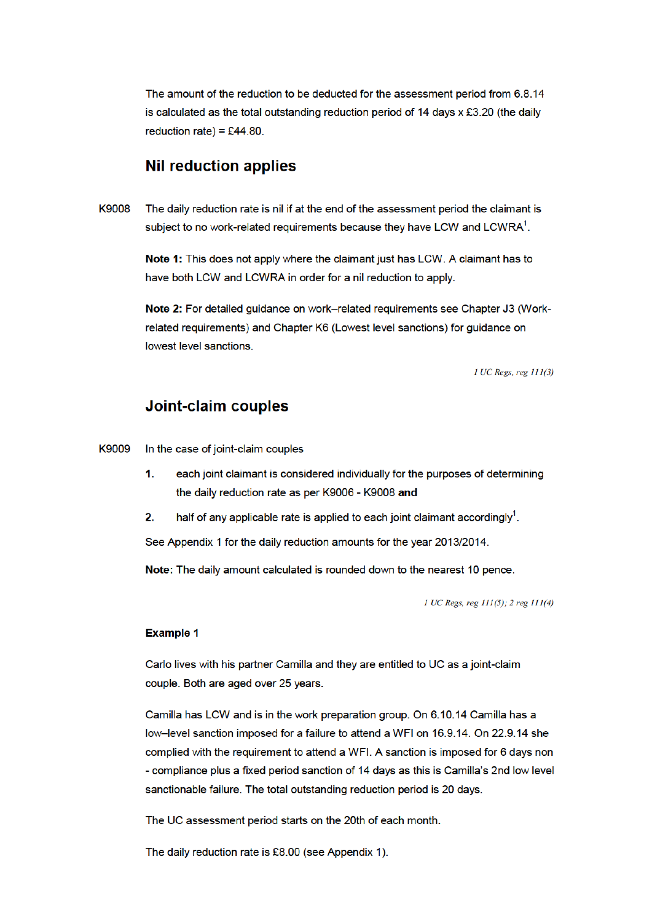reduction rate) = £44.80. The amount of the reduction to be deducted for the assessment period from 6.8.14 is calculated as the total outstanding reduction period of 14 days  $x \, \text{\pounds}3.20$  (the daily

# reduction rate) = £44.80.<br>**Nil reduction applies**

subject to no work-related requirements because they have LCW and LCWRA $^1$ . K 9008 The daily reduction rate is nil if at the end of the assessment period the claimant is

> Note 1: This does not apply where the claimant just has LCW. A claimant has to have both LCW and LCWRA in order for a nil reduction to apply.

Note 2: For detailed guidance on work-related requirements see Chapter J3 (Workrelated requirements) and Chapter K6 (Lowest level sanctions) for guidance on lowest level sanctions.

 $1$  UC Regs, reg  $111(3)$ 

#### Joint-claim couples

K 9009 In the case of joint-claim couples

- the daily reduction rate as per K9006 K9008 and 1. each joint claimant is considered individually for the purposes of determining
- 2. half of any applicable rate is applied to each joint claimant accordingly<sup>1</sup>.

See Appendix 1 for the daily reduction amounts for the year 2013/2014.

Note: The daily amount calculated is rounded down to the nearest 10 pence.

 $1$  UC Regs, reg  $111(5)$ ; 2 reg  $111(4)$ 

#### **Example 1**

couple. Both are aged over 25 years. Carlo lives with his partner Camilla and they are entitled to UC as a joint-claim

- compliance plus a fixed period sanction of 14 days as this is Camilla's 2nd low level Camilla has LCW and is in the work preparation group. On 6.10.14 Camilla has a low-level sanction imposed for a failure to attend a WFI on 16.9.14. On 22.9.14 she complied with the requirement to attend a WFI. A sanction is imposed for 6 days non sanctionable failure. The total outstanding reduction period is 20 days.

The UC assessment period starts on the 20th of each month.

The daily reduction rate is £8.00 (see Appendix 1).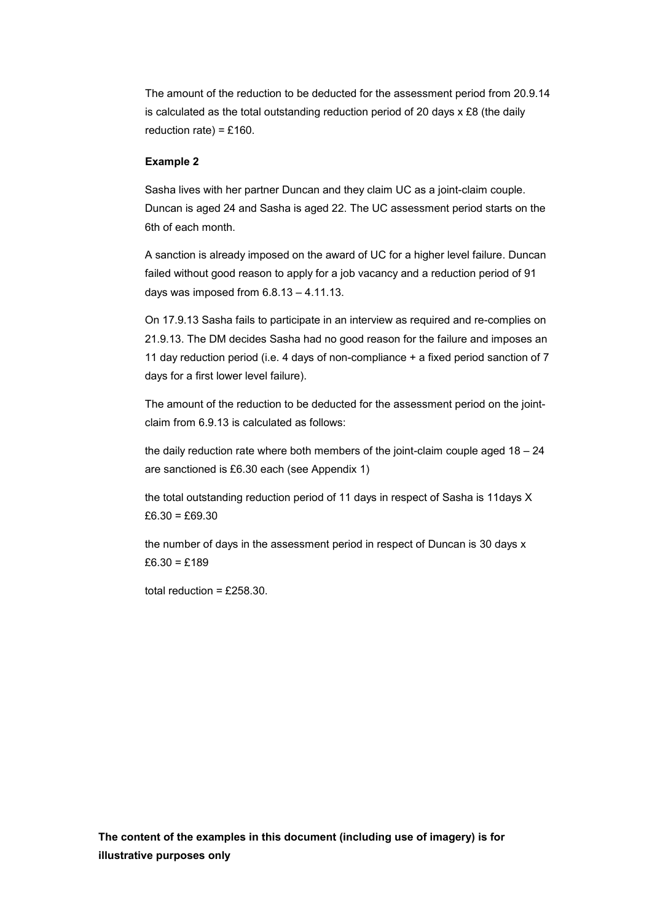The amount of the reduction to be deducted for the assessment period from 20.9.14 is calculated as the total outstanding reduction period of 20 days x £8 (the daily reduction rate) =  $£160$ .

#### **Example 2**

6th of each month. Sasha lives with her partner Duncan and they claim UC as a joint-claim couple. Duncan is aged 24 and Sasha is aged 22. The UC assessment period starts on the

6th of each month.<br>A sanction is already imposed on the award of UC for a higher level failure. Duncan days was imposed from 6.8.13 – 4.11.13. failed without good reason to apply for a job vacancy and a reduction period of 91

On 17.9.13 Sasha fails to participate in an interview as required and re-complies on 21.9.13. The DM decides Sasha had no good reason for the failure and imposes an 11 day reduction period (i.e. 4 days of non-compliance + a fixed period sanction of 7 days for a first lower level failure).

The amount of the reduction to be deducted for the assessment period on the jointclaim from 6.9.13 is calculated as follows:

the daily reduction rate where both members of the joint-claim couple aged  $18 - 24$ are sanctioned is £6.30 each (see Appendix 1)

the total outstanding reduction period of 11 days in respect of Sasha is 11days X  $£6.30 = £69.30$ 

 the number of days in the assessment period in respect of Duncan is 30 days x £6.30 = £189

total reduction =  $£258.30$ .